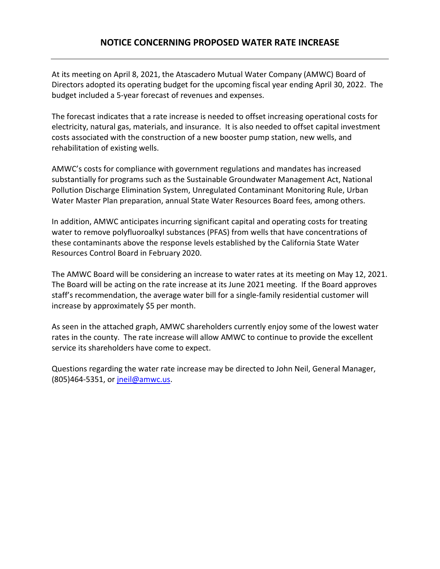## **NOTICE CONCERNING PROPOSED WATER RATE INCREASE**

At its meeting on April 8, 2021, the Atascadero Mutual Water Company (AMWC) Board of Directors adopted its operating budget for the upcoming fiscal year ending April 30, 2022. The budget included a 5-year forecast of revenues and expenses.

The forecast indicates that a rate increase is needed to offset increasing operational costs for electricity, natural gas, materials, and insurance. It is also needed to offset capital investment costs associated with the construction of a new booster pump station, new wells, and rehabilitation of existing wells.

AMWC's costs for compliance with government regulations and mandates has increased substantially for programs such as the Sustainable Groundwater Management Act, National Pollution Discharge Elimination System, Unregulated Contaminant Monitoring Rule, Urban Water Master Plan preparation, annual State Water Resources Board fees, among others.

In addition, AMWC anticipates incurring significant capital and operating costs for treating water to remove polyfluoroalkyl substances (PFAS) from wells that have concentrations of these contaminants above the response levels established by the California State Water Resources Control Board in February 2020.

The AMWC Board will be considering an increase to water rates at its meeting on May 12, 2021. The Board will be acting on the rate increase at its June 2021 meeting. If the Board approves staff's recommendation, the average water bill for a single-family residential customer will increase by approximately \$5 per month.

As seen in the attached graph, AMWC shareholders currently enjoy some of the lowest water rates in the county. The rate increase will allow AMWC to continue to provide the excellent service its shareholders have come to expect.

Questions regarding the water rate increase may be directed to John Neil, General Manager, (805)464-5351, or [jneil@amwc.us.](mailto:jneil@amwc.us)